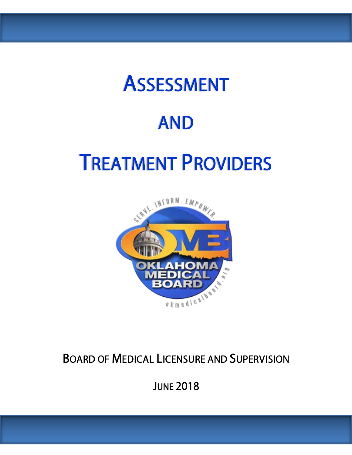### ASSESSMENT

### AND

## TREATMENT PROVIDERS



### BOARD OF MEDICAL LICENSURE AND SUPERVISION

**JUNE 2018**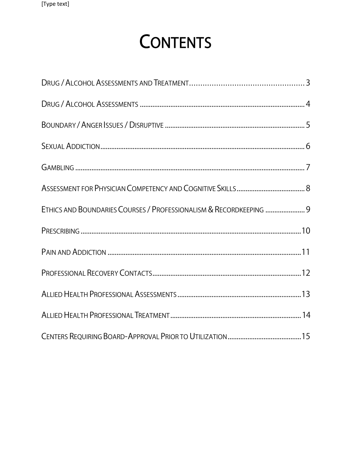### **CONTENTS**

| ETHICS AND BOUNDARIES COURSES / PROFESSIONALISM & RECORDKEEPING  9 |  |
|--------------------------------------------------------------------|--|
|                                                                    |  |
|                                                                    |  |
|                                                                    |  |
|                                                                    |  |
|                                                                    |  |
|                                                                    |  |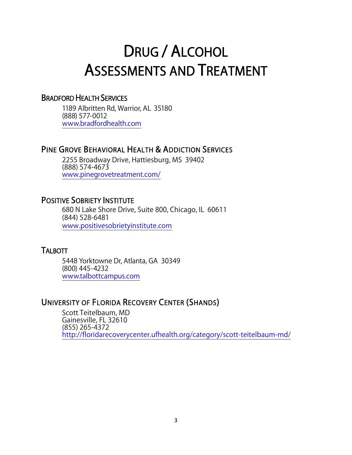### <span id="page-2-0"></span>DRUG / ALCOHOL ASSESSMENTS AND TREATMENT

#### BRADFORD HEALTH SERVICES

1189 Albritten Rd, Warrior, AL 35180 (888) 577-0012 [www.bradfordhealth.com](http://www.bradfordhealth.com/)

#### PINE GROVE BEHAVIORAL HEALTH & ADDICTION SERVICES

2255 Broadway Drive, Hattiesburg, MS 39402 (888) 574-4673 [www.pinegrovetreatment.com/](http://www.pinegrovetreatment.com/)

#### POSITIVE SOBRIETY INSTITUTE

 680 N Lake Shore Drive, Suite 800, Chicago, IL 60611 (844) 528-6481 [www.positivesobrietyinstitute.com](http://www.positivesobrietyinstitute.com/)

#### **TALBOTT**

5448 Yorktowne Dr, Atlanta, GA 30349 (800) 445-4232 [www.talbottcampus.com](http://www.talbottcampus.com/)

#### UNIVERSITY OF FLORIDA RECOVERY CENTER (SHANDS)

Scott Teitelbaum, MD Gainesville, FL 32610 (855) 265-4372 <http://floridarecoverycenter.ufhealth.org/category/scott-teitelbaum-md/>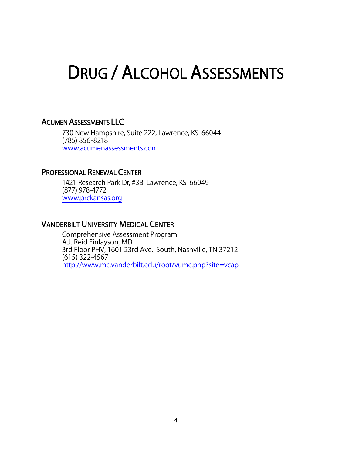### <span id="page-3-0"></span>DRUG / ALCOHOL ASSESSMENTS

#### ACUMEN ASSESSMENTS LLC

730 New Hampshire, Suite 222, Lawrence, KS 66044 (785) 856-8218 [www.acumenassessments.com](http://www.acumenassessments.com/)

#### PROFESSIONAL RENEWAL CENTER

1421 Research Park Dr, #3B, Lawrence, KS 66049 (877) 978-4772 [www.prckansas.org](http://www.prckansas.org/)

#### VANDERBILT UNIVERSITY MEDICAL CENTER

Comprehensive Assessment Program A.J. Reid Finlayson, MD 3rd Floor PHV, 1601 23rd Ave., South, Nashville, TN 37212 (615) 322-4567 <http://www.mc.vanderbilt.edu/root/vumc.php?site=vcap>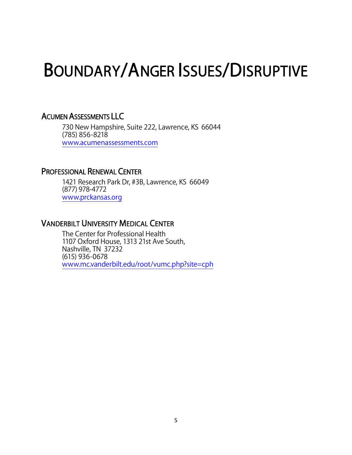### <span id="page-4-0"></span>BOUNDARY/ANGER ISSUES/DISRUPTIVE

#### ACUMEN ASSESSMENTS LLC

730 New Hampshire, Suite 222, Lawrence, KS 66044 (785) 856-8218 [www.acumenassessments.com](http://www.acumenassessments.com/)

#### PROFESSIONAL RENEWAL CENTER

1421 Research Park Dr, #3B, Lawrence, KS 66049 (877) 978-4772 [www.prckansas.org](http://www.prckansas.org/)

#### VANDERBILT UNIVERSITY MEDICAL CENTER

The Center for Professional Health 1107 Oxford House, 1313 21st Ave South, Nashville, TN 37232 (615) 936-0678 [www.mc.vanderbilt.edu/root/vumc.php?site=cph](http://www.mc.vanderbilt.edu/root/vumc.php?site=cph)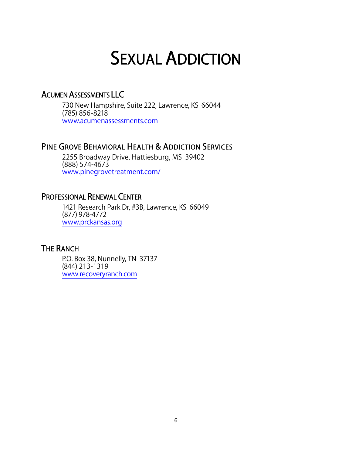### SEXUAL ADDICTION

#### <span id="page-5-0"></span>ACUMEN ASSESSMENTS LLC

730 New Hampshire, Suite 222, Lawrence, KS 66044 (785) 856-8218 [www.acumenassessments.com](http://www.acumenassessments.com/)

#### PINE GROVE BEHAVIORAL HEALTH & ADDICTION SERVICES

2255 Broadway Drive, Hattiesburg, MS 39402 (888) 574-4673 [www.pinegrovetreatment.com/](http://www.pinegrovetreatment.com/)

#### PROFESSIONAL RENEWAL CENTER

1421 Research Park Dr, #3B, Lawrence, KS 66049 (877) 978-4772 [www.prckansas.org](http://www.prckansas.org/)

#### THE RANCH

P.O. Box 38, Nunnelly, TN 37137 (844) 213-1319 www.recoveryranch.com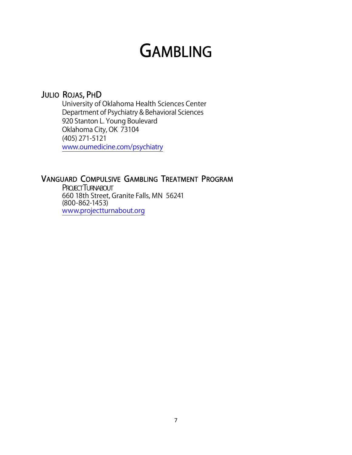### **GAMBLING**

#### <span id="page-6-0"></span>JULIO ROJAS, PHD

University of Oklahoma Health Sciences Center Department of Psychiatry & Behavioral Sciences 920 Stanton L. Young Boulevard Oklahoma City, OK 73104 (405) 271-5121 [www.oumedicine.com/psychiatry](http://www.oumedicine.com/psychiatry)

#### VANGUARD COMPULSIVE GAMBLING TREATMENT PROGRAM

**PROJECT TURNABOUT** 660 18th Street, Granite Falls, MN 56241 (800-862-1453) [www.projectturnabout.org](http://www.projectturnabout.org/)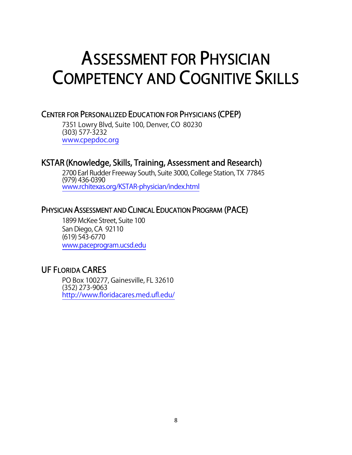### <span id="page-7-0"></span>ASSESSMENT FOR PHYSICIAN COMPETENCY AND COGNITIVE SKILLS

#### CENTER FOR PERSONALIZED EDUCATION FOR PHYSICIANS (CPEP)

7351 Lowry Blvd, Suite 100, Denver, CO 80230 (303) 577-3232 [www.cpepdoc.org](http://www.cpepdoc.org/)

#### KSTAR (Knowledge, Skills, Training, Assessment and Research)

2700 Earl Rudder Freeway South, Suite 3000, College Station, TX 77845 (979) 436-0390 [www.rchitexas.org/KSTAR-physician/index.html](http://www.rchitexas.org/KSTAR-physician/index.html)

#### PHYSICIAN ASSESSMENT AND CLINICAL EDUCATION PROGRAM (PACE)

1899 McKee Street, Suite 100 San Diego, CA 92110 (619) 543-6770 [www.paceprogram.ucsd.edu](http://www.paceprogram.ucsd.edu/)

#### UF FLORIDA CARES

PO Box 100277, Gainesville, FL 32610 (352) 273-9063 <http://www.floridacares.med.ufl.edu/>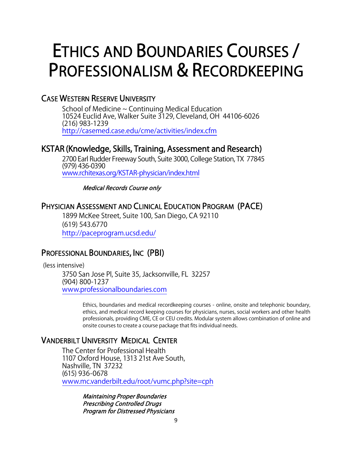### <span id="page-8-0"></span>ETHICS AND BOUNDARIES COURSES / PROFESSIONALISM & RECORDKEEPING

#### CASE WESTERN RESERVE UNIVERSITY

 School of Medicine ~ Continuing Medical Education 10524 Euclid Ave, Walker Suite 3129, Cleveland, OH 44106-6026 (216) 983-1239 <http://casemed.case.edu/cme/activities/index.cfm>

#### KSTAR (Knowledge, Skills, Training, Assessment and Research)

2700 Earl Rudder Freeway South, Suite 3000, College Station, TX 77845 (979) 436-0390 [www.rchitexas.org/KSTAR-physician/index.html](http://www.rchitexas.org/KSTAR-physician/index.html)

Medical Records Course only

#### PHYSICIAN ASSESSMENT AND CLINICAL EDUCATION PROGRAM (PACE)

1899 McKee Street, Suite 100, San Diego, CA 92110 (619) 543.6770 <http://paceprogram.ucsd.edu/>

#### PROFESSIONAL BOUNDARIES, INC (PBI)

(less intensive)

3750 San Jose Pl, Suite 35, Jacksonville, FL 32257 (904) 800-1237 [www.professionalboundaries.com](http://www.professionalboundaries.com/)

> Ethics, boundaries and medical recordkeeping courses - online, onsite and telephonic boundary, ethics, and medical record keeping courses for physicians, nurses, social workers and other health professionals, providing CME, CE or CEU credits. Modular system allows combination of online and onsite courses to create a course package that fits individual needs.

#### VANDERBILT UNIVERSITY MEDICAL CENTER

The Center for Professional Health 1107 Oxford House, 1313 21st Ave South, Nashville, TN 37232 (615) 936-0678 [www.mc.vanderbilt.edu/root/vumc.php?site=cph](http://www.mc.vanderbilt.edu/root/vumc.php?site=cph)

> Maintaining Proper Boundaries Prescribing Controlled Drugs Program for Distressed Physicians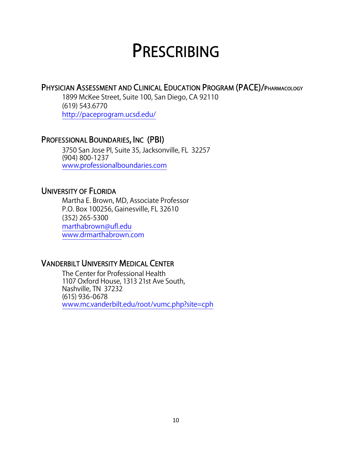### **PRESCRIBING**

#### <span id="page-9-0"></span>PHYSICIAN ASSESSMENT AND CLINICAL EDUCATION PROGRAM (PACE)/PHARMACOLOGY

1899 McKee Street, Suite 100, San Diego, CA 92110 (619) 543.6770 <http://paceprogram.ucsd.edu/>

#### PROFESSIONAL BOUNDARIES, INC (PBI)

3750 San Jose Pl, Suite 35, Jacksonville, FL 32257 (904) 800-1237 [www.professionalboundaries.com](http://www.professionalboundaries.com/)

#### UNIVERSITY OF FLORIDA

 Martha E. Brown, MD, Associate Professor P.O. Box 100256, Gainesville, FL 32610 (352) 265-5300 [marthabrown@ufl.edu](mailto:marthabrown@ufl.edu) [www.drmarthabrow](http://med.ufl.edu/)n.com

#### VANDERBILT UNIVERSITY MEDICAL CENTER

The Center for Professional Health 1107 Oxford House, 1313 21st Ave South, Nashville, TN 37232 (615) 936-0678 [www.mc.vanderbilt.edu/root/vumc.php?site=cph](http://www.mc.vanderbilt.edu/root/vumc.php?site=cph)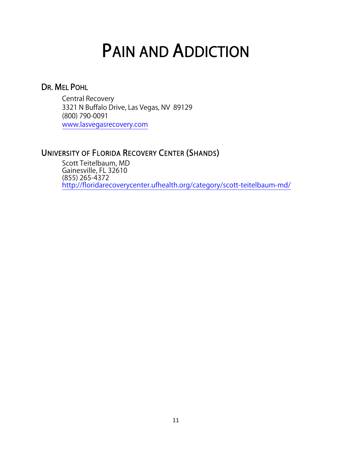### PAIN AND ADDICTION

# <span id="page-10-0"></span>DR. MEL POHL

 Central Recovery 3321 N Buffalo Drive, Las Vegas, NV 89129 (800) 790-0091 [www.lasvegasrecovery.com](http://www.lasvegasrecovery.com/)

#### UNIVERSITY OF FLORIDA RECOVERY CENTER (SHANDS)

Scott Teitelbaum, MD Gainesville, FL 32610 (855) 265-4372 <http://floridarecoverycenter.ufhealth.org/category/scott-teitelbaum-md/>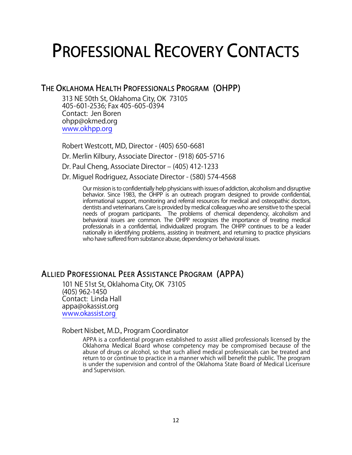### <span id="page-11-0"></span>PROFESSIONAL RECOVERY CONTACTS

#### THE OKLAHOMA HEALTH PROFESSIONALS PROGRAM (OHPP)

313 NE 50th St, Oklahoma City, OK 73105 405-601-2536; Fax 405-605-0394 Contact: Jen Boren [ohpp@okmed.org](mailto:ohpp@okmed.org) [www.okhpp.org](http://www.okhpp.org/)

Robert Westcott, MD, Director - (405) 650-6681 Dr. Merlin Kilbury, Associate Director - (918) 605-5716 Dr. Paul Cheng, Associate Director – (405) 412-1233 Dr. Miguel Rodriguez, Associate Director - (580) 574-4568

> Our mission is to confidentially help physicians with issues of addiction, alcoholism and disruptive behavior. Since 1983, the OHPP is an outreach program designed to provide confidential, informational support, monitoring and referral resources for medical and osteopathic doctors, dentists and veterinarians. Care is provided by medical colleagues who are sensitive to the special needs of program participants. The problems of chemical dependency, alcoholism and behavioral issues are common. The OHPP recognizes the importance of treating medical professionals in a confidential, individualized program. The OHPP continues to be a leader nationally in identifying problems, assisting in treatment, and returning to practice physicians who have suffered from substance abuse, dependency or behavioral issues.

#### ALLIED PROFESSIONAL PEER ASSISTANCE PROGRAM (APPA)

101 NE 51st St, Oklahoma City, OK 73105 (405) 962-1450 Contact: Linda Hall [appa@okassist.org](mailto:appa@okassist.org) www.okassist.org

#### Robert Nisbet, M.D., Program Coordinator

APPA is a confidential program established to assist allied professionals licensed by the Oklahoma Medical Board whose competency may be compromised because of the abuse of drugs or alcohol, so that such allied medical professionals can be treated and return to or continue to practice in a manner which will benefit the public. The program is under the supervision and control of the Oklahoma State Board of Medical Licensure and Supervision.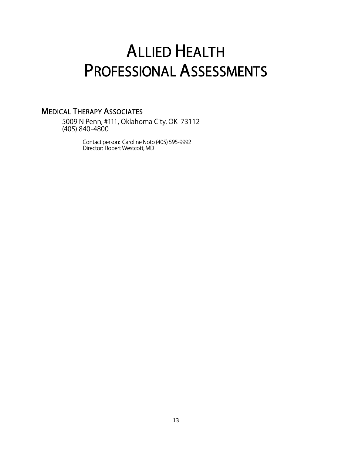### <span id="page-12-0"></span>ALLIED HEALTH PROFESSIONAL ASSESSMENTS

#### MEDICAL THERAPY ASSOCIATES

5009 N Penn, #111, Oklahoma City, OK 73112 (405) 840-4800

> Contact person: Caroline Noto (405) 595-9992 Director: Robert Westcott, MD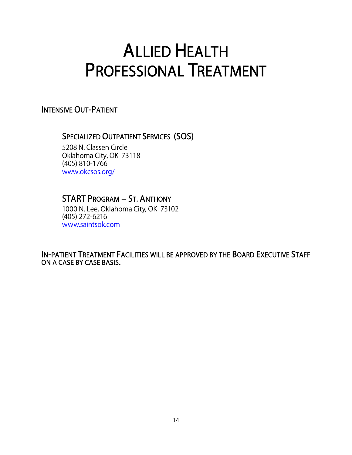### <span id="page-13-0"></span>ALLIED HEALTH PROFESSIONAL TREATMENT

INTENSIVE OUT-PATIENT

#### SPECIALIZED OUTPATIENT SERVICES (SOS)

5208 N. Classen Circle Oklahoma City, OK 73118 (405) 810-1766 [www.okcsos.org/](http://www.okcsos.org/)

#### START PROGRAM – ST. ANTHONY

1000 N. Lee, Oklahoma City, OK 73102 (405) 272-6216 [www.saintsok.com](http://www.saintsok.com/)

IN-PATIENT TREATMENT FACILITIES WILL BE APPROVED BY THE BOARD EXECUTIVE STAFF ON A CASE BY CASE BASIS.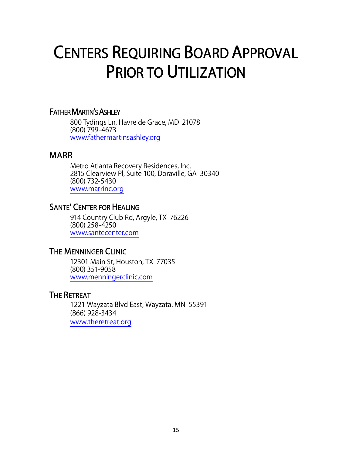### <span id="page-14-0"></span>CENTERS REQUIRING BOARD APPROVAL PRIOR TO UTILIZATION

#### FATHER MARTIN'S ASHLEY

800 Tydings Ln, Havre de Grace, MD 21078 (800) 799-4673 [www.fathermartinsashley.org](http://www.fathermartinsashley.org/)

#### MARR

Metro Atlanta Recovery Residences, Inc. 2815 Clearview Pl, Suite 100, Doraville, GA 30340 (800) 732-5430 [www.marrinc.org](http://www.marrinc.org/)

#### SANTE' CENTER FOR HEALING

914 Country Club Rd, Argyle, TX 76226 (800) 258-4250 [www.santecenter.com](http://www.santecenter.com/)

#### THE MENNINGER CLINIC

12301 Main St, Houston, TX 77035 (800) 351-9058 [www.menningerclinic.com](http://www.menningerclinic.com/)

#### THE RETREAT

 1221 Wayzata Blvd East, Wayzata, MN 55391 (866) 928-3434 [www.theretreat.org](http://www.theretreat.org/)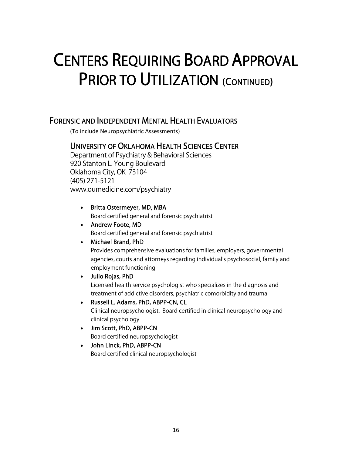### CENTERS REQUIRING BOARD APPROVAL PRIOR TO UTILIZATION (CONTINUED)

#### FORENSIC AND INDEPENDENT MENTAL HEALTH EVALUATORS

(To include Neuropsychiatric Assessments)

#### UNIVERSITY OF OKLAHOMA HEALTH SCIENCES CENTER

Department of Psychiatry & Behavioral Sciences 920 Stanton L. Young Boulevard Oklahoma City, OK 73104 (405) 271-5121 [www.oumedicine.com/psychiatry](http://www.oumedicine.com/psychiatry)

- Britta Ostermeyer, MD, MBA Board certified general and forensic psychiatrist
- Andrew Foote, MD Board certified general and forensic psychiatrist
- Michael Brand, PhD

Provides comprehensive evaluations for families, employers, governmental agencies, courts and attorneys regarding individual's psychosocial, family and employment functioning

• Julio Rojas, PhD

Licensed health service psychologist who specializes in the diagnosis and treatment of addictive disorders, psychiatric comorbidity and trauma

- Russell L. Adams, PhD, ABPP-CN, CL Clinical neuropsychologist. Board certified in clinical neuropsychology and clinical psychology
- Jim Scott, PhD, ABPP-CN Board certified neuropsychologist
- John Linck, PhD, ABPP-CN Board certified clinical neuropsychologist